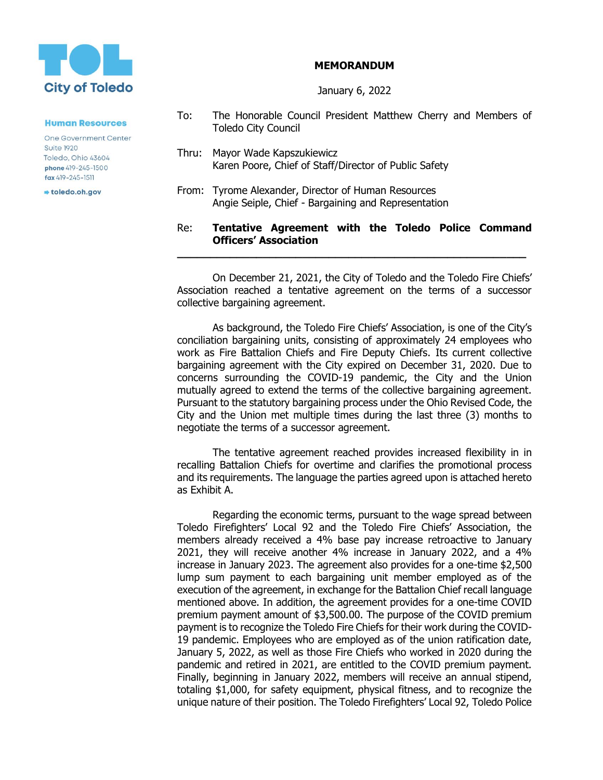

## **MEMORANDUM**

January 6, 2022

**Human Resources** 

**One Government Center Suite 1920** Toledo, Ohio 43604 **phone** 419-245-1500 fax 419-245-1511

toledo.oh.gov

- To: The Honorable Council President Matthew Cherry and Members of Toledo City Council
- Thru: Mayor Wade Kapszukiewicz Karen Poore, Chief of Staff/Director of Public Safety
- From: Tyrome Alexander, Director of Human Resources Angie Seiple, Chief - Bargaining and Representation

## Re: **Tentative Agreement with the Toledo Police Command Officers' Association**

**\_\_\_\_\_\_\_\_\_\_\_\_\_\_\_\_\_\_\_\_\_\_\_\_\_\_\_\_\_\_\_\_\_\_\_\_\_\_\_\_\_\_\_\_\_\_\_\_\_\_\_\_\_**

On December 21, 2021, the City of Toledo and the Toledo Fire Chiefs' Association reached a tentative agreement on the terms of a successor collective bargaining agreement.

As background, the Toledo Fire Chiefs' Association, is one of the City's conciliation bargaining units, consisting of approximately 24 employees who work as Fire Battalion Chiefs and Fire Deputy Chiefs. Its current collective bargaining agreement with the City expired on December 31, 2020. Due to concerns surrounding the COVID-19 pandemic, the City and the Union mutually agreed to extend the terms of the collective bargaining agreement. Pursuant to the statutory bargaining process under the Ohio Revised Code, the City and the Union met multiple times during the last three (3) months to negotiate the terms of a successor agreement.

The tentative agreement reached provides increased flexibility in in recalling Battalion Chiefs for overtime and clarifies the promotional process and its requirements. The language the parties agreed upon is attached hereto as Exhibit A.

Regarding the economic terms, pursuant to the wage spread between Toledo Firefighters' Local 92 and the Toledo Fire Chiefs' Association, the members already received a 4% base pay increase retroactive to January 2021, they will receive another 4% increase in January 2022, and a 4% increase in January 2023. The agreement also provides for a one-time \$2,500 lump sum payment to each bargaining unit member employed as of the execution of the agreement, in exchange for the Battalion Chief recall language mentioned above. In addition, the agreement provides for a one-time COVID premium payment amount of \$3,500.00. The purpose of the COVID premium payment is to recognize the Toledo Fire Chiefs for their work during the COVID-19 pandemic. Employees who are employed as of the union ratification date, January 5, 2022, as well as those Fire Chiefs who worked in 2020 during the pandemic and retired in 2021, are entitled to the COVID premium payment. Finally, beginning in January 2022, members will receive an annual stipend, totaling \$1,000, for safety equipment, physical fitness, and to recognize the unique nature of their position. The Toledo Firefighters' Local 92, Toledo Police